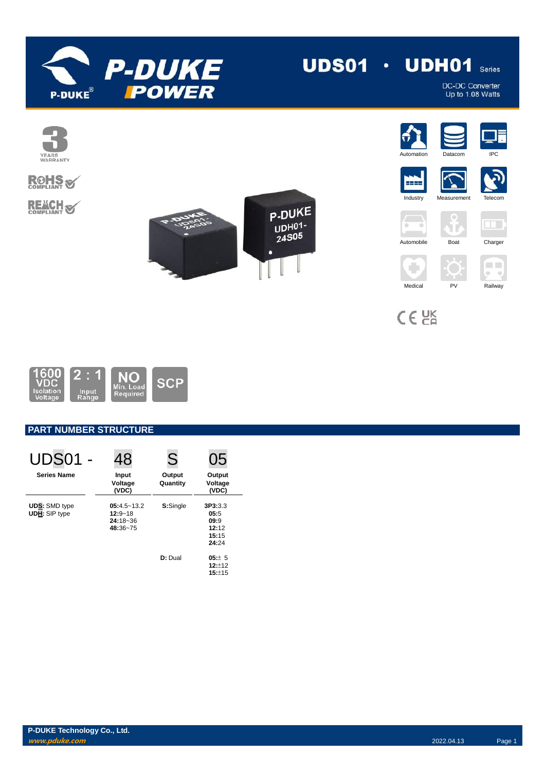

# **UDS01**  $\cdot$  **UDH01** Series

DC-DC Converter<br>Up to 1.08 Watts



# **ROHS REACH S**





 $C \in \mathcal{C}^{\text{K}}_{\text{R}}$ 



# **PART NUMBER STRUCTURE**

| <b>UDS01 -</b>                               | 48                                                         | S                  | 05                                                 |
|----------------------------------------------|------------------------------------------------------------|--------------------|----------------------------------------------------|
| <b>Series Name</b>                           | Input<br>Voltage<br>(VDC)                                  | Output<br>Quantity | Output<br>Voltage<br>(VDC)                         |
| <b>UDS:</b> SMD type<br><b>UDH:</b> SIP type | $05:4.5 - 13.2$<br>$12:9 - 18$<br>$24:18 - 36$<br>48:36~75 | S:Single           | 3P3:3.3<br>05:5<br>09:9<br>12:12<br>15:15<br>24:24 |
|                                              |                                                            | D: Dual            | $05:+ 5$<br>$12:+12$<br>15:±15                     |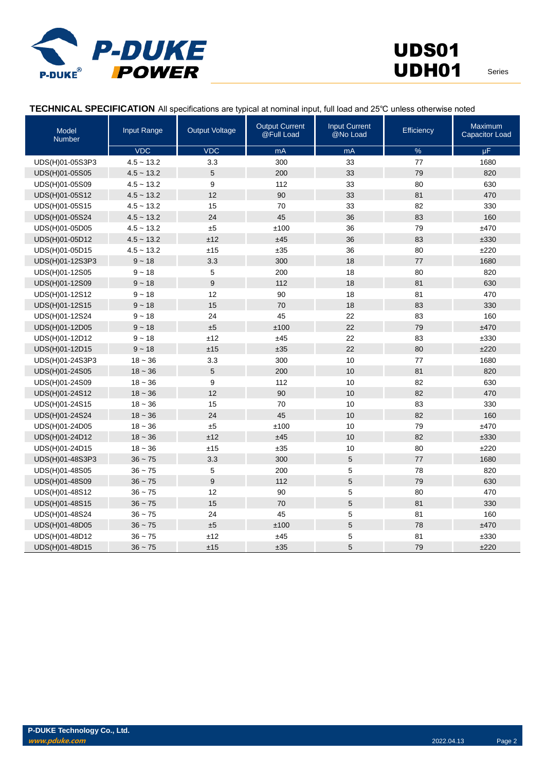

## **TECHNICAL SPECIFICATION** All specifications are typical at nominal input, full load and 25℃ unless otherwise noted

| Model<br>Number | Input Range  | <b>Output Voltage</b> | <b>Output Current</b><br>@Full Load | <b>Input Current</b><br>@No Load | Efficiency | <b>Maximum</b><br><b>Capacitor Load</b> |
|-----------------|--------------|-----------------------|-------------------------------------|----------------------------------|------------|-----------------------------------------|
|                 | <b>VDC</b>   | <b>VDC</b>            | mA                                  | mA                               | $\%$       | $\mu$ F                                 |
| UDS(H)01-05S3P3 | $4.5 - 13.2$ | 3.3                   | 300                                 | 33                               | 77         | 1680                                    |
| UDS(H)01-05S05  | $4.5 - 13.2$ | 5                     | 200                                 | 33                               | 79         | 820                                     |
| UDS(H)01-05S09  | $4.5 - 13.2$ | 9                     | 112                                 | 33                               | 80         | 630                                     |
| UDS(H)01-05S12  | $4.5 - 13.2$ | 12                    | 90                                  | 33                               | 81         | 470                                     |
| UDS(H)01-05S15  | $4.5 - 13.2$ | 15                    | 70                                  | 33                               | 82         | 330                                     |
| UDS(H)01-05S24  | $4.5 - 13.2$ | 24                    | 45                                  | 36                               | 83         | 160                                     |
| UDS(H)01-05D05  | $4.5 - 13.2$ | ±5                    | ±100                                | 36                               | 79         | ±470                                    |
| UDS(H)01-05D12  | $4.5 - 13.2$ | ±12                   | ±45                                 | 36                               | 83         | ±330                                    |
| UDS(H)01-05D15  | $4.5 - 13.2$ | ±15                   | ±35                                 | 36                               | 80         | ±220                                    |
| UDS(H)01-12S3P3 | $9 - 18$     | 3.3                   | 300                                 | 18                               | 77         | 1680                                    |
| UDS(H)01-12S05  | $9 - 18$     | 5                     | 200                                 | 18                               | 80         | 820                                     |
| UDS(H)01-12S09  | $9 - 18$     | $\boldsymbol{9}$      | 112                                 | 18                               | 81         | 630                                     |
| UDS(H)01-12S12  | $9 - 18$     | 12                    | 90                                  | 18                               | 81         | 470                                     |
| UDS(H)01-12S15  | $9 - 18$     | 15                    | 70                                  | 18                               | 83         | 330                                     |
| UDS(H)01-12S24  | $9 - 18$     | 24                    | 45                                  | 22                               | 83         | 160                                     |
| UDS(H)01-12D05  | $9 - 18$     | ±5                    | ±100                                | 22                               | 79         | ±470                                    |
| UDS(H)01-12D12  | $9 - 18$     | ±12                   | ±45                                 | 22                               | 83         | ±330                                    |
| UDS(H)01-12D15  | $9 - 18$     | ±15                   | ±35                                 | 22                               | 80         | ±220                                    |
| UDS(H)01-24S3P3 | $18 - 36$    | 3.3                   | 300                                 | 10                               | 77         | 1680                                    |
| UDS(H)01-24S05  | $18 - 36$    | 5                     | 200                                 | 10                               | 81         | 820                                     |
| UDS(H)01-24S09  | $18 - 36$    | 9                     | 112                                 | 10                               | 82         | 630                                     |
| UDS(H)01-24S12  | $18 - 36$    | 12                    | 90                                  | 10                               | 82         | 470                                     |
| UDS(H)01-24S15  | $18 - 36$    | 15                    | 70                                  | 10                               | 83         | 330                                     |
| UDS(H)01-24S24  | $18 - 36$    | 24                    | 45                                  | 10                               | 82         | 160                                     |
| UDS(H)01-24D05  | $18 - 36$    | ±5                    | ±100                                | 10                               | 79         | ±470                                    |
| UDS(H)01-24D12  | $18 - 36$    | ±12                   | ±45                                 | 10                               | 82         | ±330                                    |
| UDS(H)01-24D15  | $18 - 36$    | ±15                   | ±35                                 | 10                               | 80         | ±220                                    |
| UDS(H)01-48S3P3 | $36 - 75$    | 3.3                   | 300                                 | 5                                | 77         | 1680                                    |
| UDS(H)01-48S05  | $36 - 75$    | 5                     | 200                                 | 5                                | 78         | 820                                     |
| UDS(H)01-48S09  | $36 - 75$    | 9                     | 112                                 | 5                                | 79         | 630                                     |
| UDS(H)01-48S12  | $36 - 75$    | 12                    | 90                                  | 5                                | 80         | 470                                     |
| UDS(H)01-48S15  | $36 - 75$    | 15                    | 70                                  | 5                                | 81         | 330                                     |
| UDS(H)01-48S24  | $36 - 75$    | 24                    | 45                                  | 5                                | 81         | 160                                     |
| UDS(H)01-48D05  | $36 - 75$    | ±5                    | ±100                                | 5                                | 78         | ±470                                    |
| UDS(H)01-48D12  | $36 - 75$    | ±12                   | ±45                                 | 5                                | 81         | ±330                                    |
| UDS(H)01-48D15  | $36 - 75$    | ±15                   | ±35                                 | 5                                | 79         | ±220                                    |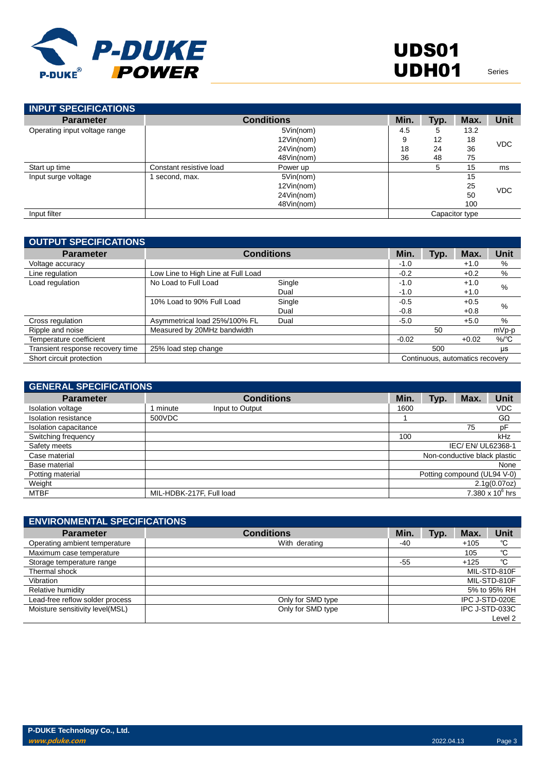

| <b>INPUT SPECIFICATIONS</b>   |                         |                   |      |      |                |             |
|-------------------------------|-------------------------|-------------------|------|------|----------------|-------------|
| <b>Parameter</b>              |                         | <b>Conditions</b> | Min. | Typ. | Max.           | <b>Unit</b> |
| Operating input voltage range |                         | 5Vin(nom)         | 4.5  | 5    | 13.2           |             |
|                               |                         | 12Vin(nom)        | 9    | 12   | 18             | <b>VDC</b>  |
|                               |                         | 24Vin(nom)        | 18   | 24   | 36             |             |
|                               |                         | 48Vin(nom)        | 36   | 48   | 75             |             |
| Start up time                 | Constant resistive load | Power up          |      | 5    | 15             | ms          |
| Input surge voltage           | second, max.            | 5Vin(nom)         |      |      | 15             |             |
|                               |                         | 12Vin(nom)        |      |      | 25             | <b>VDC</b>  |
|                               |                         | 24Vin(nom)        |      |      | 50             |             |
|                               |                         | 48Vin(nom)        |      |      | 100            |             |
| Input filter                  |                         |                   |      |      | Capacitor type |             |

| <b>OUTPUT SPECIFICATIONS</b>     |                                    |                   |         |      |                                 |                    |
|----------------------------------|------------------------------------|-------------------|---------|------|---------------------------------|--------------------|
| <b>Parameter</b>                 |                                    | <b>Conditions</b> | Min.    | Typ. | Max.                            | Unit               |
| Voltage accuracy                 |                                    |                   | $-1.0$  |      | $+1.0$                          | %                  |
| Line regulation                  | Low Line to High Line at Full Load |                   | $-0.2$  |      | $+0.2$                          | %                  |
| Load regulation                  | No Load to Full Load               | Single            | $-1.0$  |      | $+1.0$                          | %                  |
|                                  |                                    | Dual              | $-1.0$  |      | $+1.0$                          |                    |
|                                  | 10% Load to 90% Full Load          | Single            | $-0.5$  |      | $+0.5$                          | %                  |
|                                  |                                    | Dual              | $-0.8$  |      | $+0.8$                          |                    |
| Cross regulation                 | Asymmetrical load 25%/100% FL      | Dual              | $-5.0$  |      | $+5.0$                          | $\%$               |
| Ripple and noise                 | Measured by 20MHz bandwidth        |                   |         | 50   |                                 | $mVp-p$            |
| Temperature coefficient          |                                    |                   | $-0.02$ |      | $+0.02$                         | $%$ <sup>o</sup> C |
| Transient response recovery time | 25% load step change               |                   |         | 500  |                                 | μs                 |
| Short circuit protection         |                                    |                   |         |      | Continuous, automatics recovery |                    |

| <b>GENERAL SPECIFICATIONS</b> |                          |                   |      |      |                              |                    |
|-------------------------------|--------------------------|-------------------|------|------|------------------------------|--------------------|
| <b>Parameter</b>              |                          | <b>Conditions</b> | Min. | Typ. | Max.                         | <b>Unit</b>        |
| Isolation voltage             | minute                   | Input to Output   | 1600 |      |                              | <b>VDC</b>         |
| Isolation resistance          | 500VDC                   |                   |      |      |                              | GΩ                 |
| Isolation capacitance         |                          |                   |      |      | 75                           | pF                 |
| Switching frequency           |                          |                   | 100  |      |                              | kHz                |
| Safety meets                  |                          |                   |      |      | IEC/ EN/ UL62368-1           |                    |
| Case material                 |                          |                   |      |      | Non-conductive black plastic |                    |
| Base material                 |                          |                   |      |      |                              | None               |
| Potting material              |                          |                   |      |      | Potting compound (UL94 V-0)  |                    |
| Weight                        |                          |                   |      |      |                              | 2.1g(0.07oz)       |
| MTBF                          | MIL-HDBK-217F, Full load |                   |      |      |                              | 7.380 x $10^6$ hrs |

| <b>ENVIRONMENTAL SPECIFICATIONS</b> |                   |       |      |        |                |
|-------------------------------------|-------------------|-------|------|--------|----------------|
| <b>Parameter</b>                    | <b>Conditions</b> | Min.  | Typ. | Max.   | Unit           |
| Operating ambient temperature       | With derating     | -40   |      | $+105$ | °C             |
| Maximum case temperature            |                   |       |      | 105    | °C             |
| Storage temperature range           |                   | $-55$ |      | $+125$ | °C             |
| Thermal shock                       |                   |       |      |        | MIL-STD-810F   |
| Vibration                           |                   |       |      |        | MIL-STD-810F   |
| Relative humidity                   |                   |       |      |        | 5% to 95% RH   |
| Lead-free reflow solder process     | Only for SMD type |       |      |        | IPC J-STD-020E |
| Moisture sensitivity level(MSL)     | Only for SMD type |       |      |        | IPC J-STD-033C |
|                                     |                   |       |      |        | Level 2        |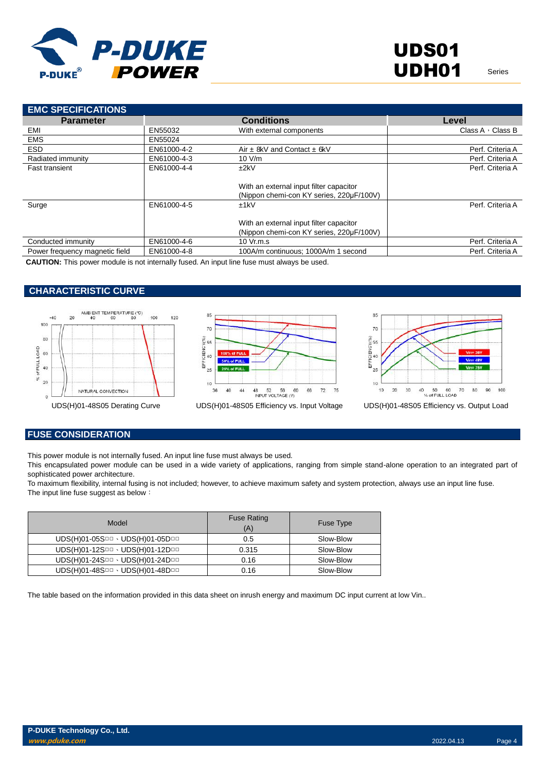

| <b>EMC SPECIFICATIONS</b>      |             |                                                                                     |                         |
|--------------------------------|-------------|-------------------------------------------------------------------------------------|-------------------------|
| <b>Parameter</b>               |             | <b>Conditions</b>                                                                   | Level                   |
| EMI                            | EN55032     | With external components                                                            | Class A $\cdot$ Class B |
| <b>EMS</b>                     | EN55024     |                                                                                     |                         |
| <b>ESD</b>                     | EN61000-4-2 | Air $\pm$ 8kV and Contact $\pm$ 6kV                                                 | Perf. Criteria A        |
| Radiated immunity              | EN61000-4-3 | 10 V/m                                                                              | Perf. Criteria A        |
| <b>Fast transient</b>          | EN61000-4-4 | ±2kV                                                                                | Perf. Criteria A        |
|                                |             | With an external input filter capacitor<br>(Nippon chemi-con KY series, 220µF/100V) |                         |
| Surge                          | EN61000-4-5 | ±1kV                                                                                | Perf. Criteria A        |
|                                |             | With an external input filter capacitor<br>(Nippon chemi-con KY series, 220µF/100V) |                         |
| Conducted immunity             | EN61000-4-6 | $10 \text{ Vr.m.s}$                                                                 | Perf. Criteria A        |
| Power frequency magnetic field | EN61000-4-8 | 100A/m continuous: 1000A/m 1 second                                                 | Perf. Criteria A        |
|                                |             |                                                                                     |                         |

**CAUTION:** This power module is not internally fused. An input line fuse must always be used.

### **CHARACTERISTIC CURVE**







UDS(H)01-48S05 Derating Curve UDS(H)01-48S05 Efficiency vs. Input Voltage UDS(H)01-48S05 Efficiency vs. Output Load

### **FUSE CONSIDERATION**

This power module is not internally fused. An input line fuse must always be used.

This encapsulated power module can be used in a wide variety of applications, ranging from simple stand-alone operation to an integrated part of sophisticated power architecture.

To maximum flexibility, internal fusing is not included; however, to achieve maximum safety and system protection, always use an input line fuse. The input line fuse suggest as below:

| Model                           | <b>Fuse Rating</b><br>(A) | <b>Fuse Type</b> |
|---------------------------------|---------------------------|------------------|
| UDS(H)01-05SOD · UDS(H)01-05DOD | 0.5                       | Slow-Blow        |
| UDS(H)01-12SOD · UDS(H)01-12DOD | 0.315                     | Slow-Blow        |
| UDS(H)01-24SOD · UDS(H)01-24DOD | 0.16                      | Slow-Blow        |
| UDS(H)01-48SOD · UDS(H)01-48DOD | 0.16                      | Slow-Blow        |

The table based on the information provided in this data sheet on inrush energy and maximum DC input current at low Vin..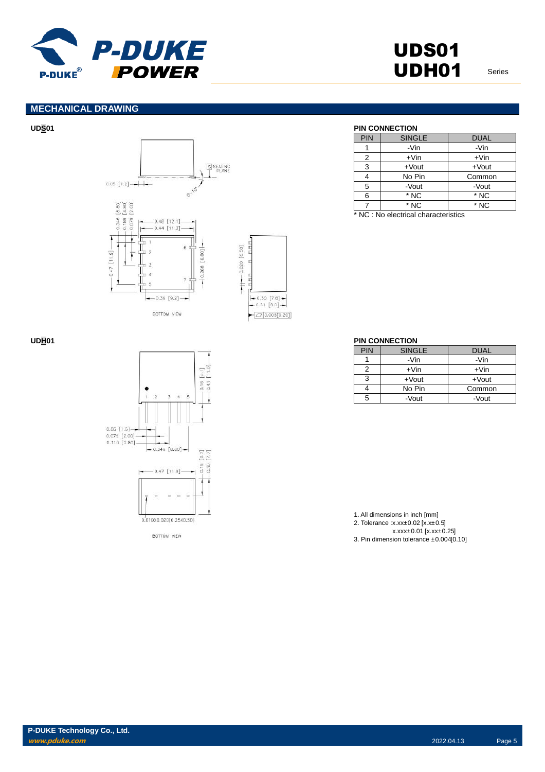

## **MECHANICAL DRAWING**







BOTTOM VIEW

## **UDS01 PIN CONNECTION**

| PIN | <b>SINGLE</b> | <b>DUAL</b> |
|-----|---------------|-------------|
|     | -Vin          | -Vin        |
| 2   | $+V$ in       | $+V$ in     |
| 3   | $+$ Vout      | $+$ Vout    |
|     | No Pin        | Common      |
|     |               |             |
| 5   | -Vout         | -Vout       |
| 6   | * NC          | * NC        |

\* NC : No electrical characteristics

### **UDH01 PIN CONNECTION**

| <b>PIN</b> | <b>SINGLE</b> | <b>DUAL</b> |
|------------|---------------|-------------|
|            | -Vin          | -Vin        |
| 2          | $+V$ in       | $+V$ in     |
| 3          | $+$ Vout      | $+$ Vout    |
|            | No Pin        | Common      |
| 5          | -Vout         | -Vout       |

1. All dimensions in inch [mm] 2. Tolerance :x.xx±0.02 [x.x±0.5] x.xxx±0.01 [x.xx±0.25] 3. Pin dimension tolerance ±0.004[0.10]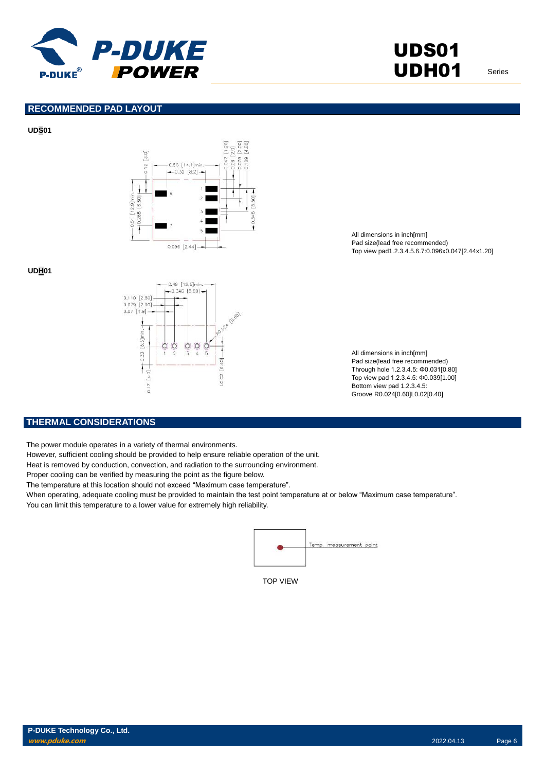

## **RECOMMENDED PAD LAYOUT**

### **UDS01**



### **UDH01**



All dimensions in inch[mm] Pad size(lead free recommended) Top view pad1.2.3.4.5.6.7:0.096x0.047[2.44x1.20]

All dimensions in inch[mm] Pad size(lead free recommended) Through hole 1.2.3.4.5: Φ0.031[0.80] Top view pad 1.2.3.4.5: Φ0.039[1.00] Bottom view pad 1.2.3.4.5: Groove R0.024[0.60]L0.02[0.40]

### **THERMAL CONSIDERATIONS**

The power module operates in a variety of thermal environments.

However, sufficient cooling should be provided to help ensure reliable operation of the unit.

Heat is removed by conduction, convection, and radiation to the surrounding environment.

Proper cooling can be verified by measuring the point as the figure below.

The temperature at this location should not exceed "Maximum case temperature".

When operating, adequate cooling must be provided to maintain the test point temperature at or below "Maximum case temperature". You can limit this temperature to a lower value for extremely high reliability.



TOP VIEW